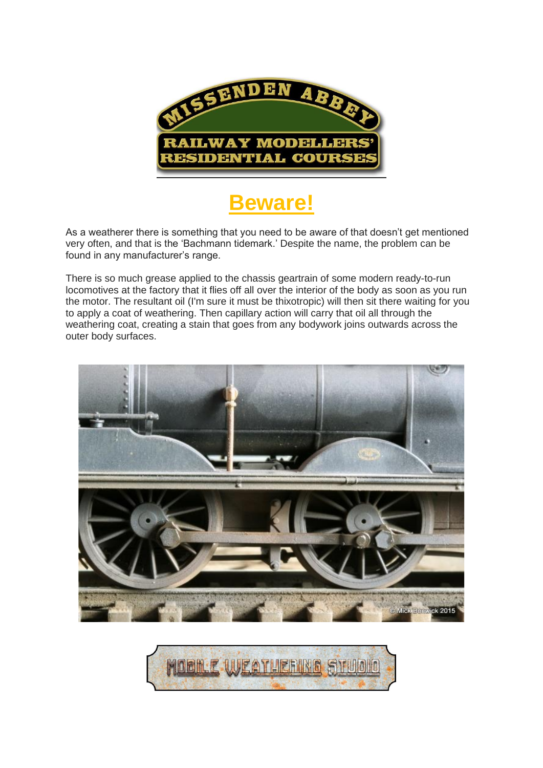

## **Beware!**

As a weatherer there is something that you need to be aware of that doesn't get mentioned very often, and that is the 'Bachmann tidemark.' Despite the name, the problem can be found in any manufacturer's range.

There is so much grease applied to the chassis geartrain of some modern ready-to-run locomotives at the factory that it flies off all over the interior of the body as soon as you run the motor. The resultant oil (I'm sure it must be thixotropic) will then sit there waiting for you to apply a coat of weathering. Then capillary action will carry that oil all through the weathering coat, creating a stain that goes from any bodywork joins outwards across the outer body surfaces.



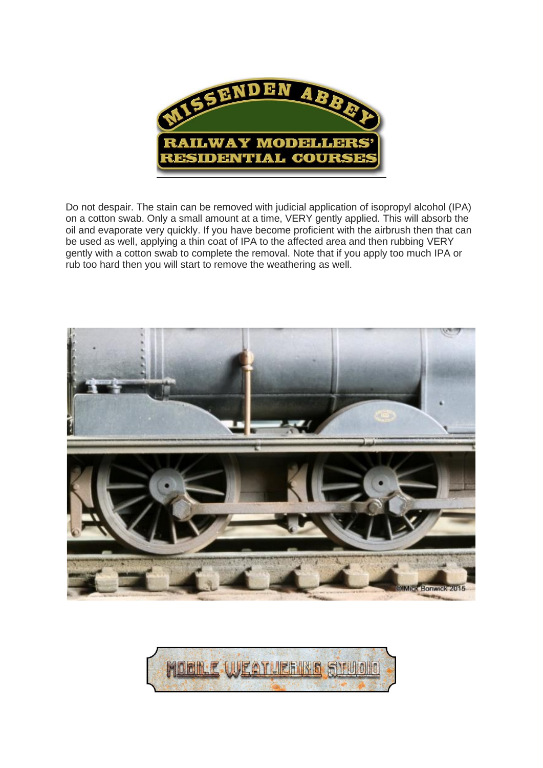

Do not despair. The stain can be removed with judicial application of isopropyl alcohol (IPA) on a cotton swab. Only a small amount at a time, VERY gently applied. This will absorb the oil and evaporate very quickly. If you have become proficient with the airbrush then that can be used as well, applying a thin coat of IPA to the affected area and then rubbing VERY gently with a cotton swab to complete the removal. Note that if you apply too much IPA or rub too hard then you will start to remove the weathering as well.